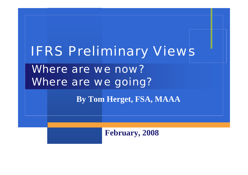# IFRS Preliminary Views

Where are we now? Where are we going?

**By Tom Herget, FSA, MAAA**

**February, 2008**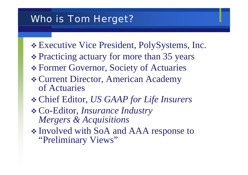#### Who is Tom Herget?

- Executive Vice President, PolySystems, Inc.
- Practicing actuary for more than 35 years
- Former Governor, Society of Actuaries
- Current Director, American Academy of Actuaries
- Chief Editor, *US GAAP for Life Insurers*
- Co-Editor, *Insurance Industry Mergers & Acquisitions*
- Involved with SoA and AAA response to "Preliminary Views"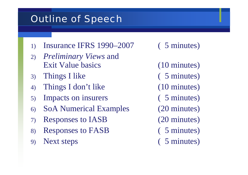# Outline of Speech

- 1) Insurance IFRS 1990–2007 ( 5 minutes)
- 2) *Preliminary Views* and Exit Value basics (10 minutes)
- 3) Things I like ( 5 minutes)
- 4) Things I don't like (10 minutes)
- 5) Impacts on insurers ( 5 minutes)
- 6) SoA Numerical Examples (20 minutes)
- 7) Responses to IASB (20 minutes)
- 8) Responses to FASB ( 5 minutes)
- 9) Next steps ( 5 minutes)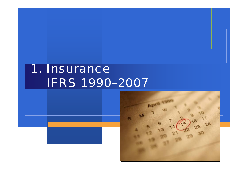# 1. Insurance IFRS 1990–2007

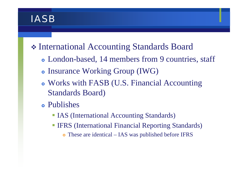### **IASB**

# International Accounting Standards Board

- London-based, 14 members from 9 countries, staff
- Insurance Working Group (IWG)
- Works with FASB (U.S. Financial Accounting Standards Board)
- Publishes
	- **IAS** (International Accounting Standards)
	- **IFRS (International Financial Reporting Standards)** 
		- These are identical IAS was published before IFRS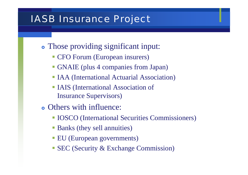#### IASB Insurance Project

- Those providing significant input:
	- **CFO Forum (European insurers)**
	- GNAIE (plus 4 companies from Japan)
	- **IAA (International Actuarial Association)**
	- IAIS (International Association of Insurance Supervisors)
- Others with influence:
	- **IOSCO** (International Securities Commissioners)
	- **Banks (they sell annuities)**
	- **EU** (European governments)
	- **SEC** (Security & Exchange Commission)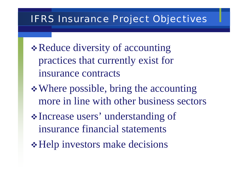#### IFRS Insurance Project Objectives

- \* Reduce diversity of accounting practices that currently exist for insurance contracts
- Where possible, bring the accounting more in line with other business sectors
- Increase users' understanding of insurance financial statements
- Help investors make decisions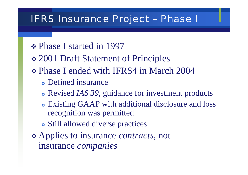#### IFRS Insurance Project – Phase I

- **❖ Phase I started in 1997**
- **❖ 2001 Draft Statement of Principles**
- Phase I ended with IFRS4 in March 2004
	- Defined insurance
	- Revised *IAS 39*, guidance for investment products
	- Existing GAAP with additional disclosure and loss recognition was permitted
	- Still allowed diverse practices
- Applies to insurance *contracts*, not insurance *companies*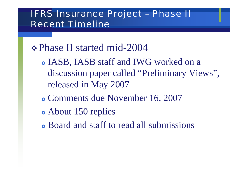#### IFRS Insurance Project – Phase II Recent Timeline

# **∻ Phase II started mid-2004**

- IASB, IASB staff and IWG worked on a discussion paper called "Preliminary Views", released in May 2007
- } Comments due November 16, 2007
- About 150 replies
- Board and staff to read all submissions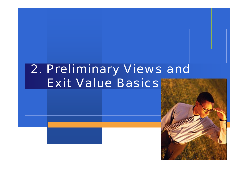# 2. Preliminary Views and Exit Value Basics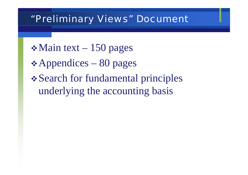#### "Preliminary Views" Document

- $\cdot$ Main text 150 pages
- $\triangle$  Appendices 80 pages
- Search for fundamental principles underlying the accounting basis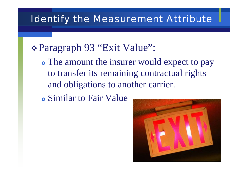#### Identify the Measurement Attribute

# Paragraph 93 "Exit Value":

- The amount the insurer would expect to pay to transfer its remaining contractual rights and obligations to another carrier.
- **•** Similar to Fair Value

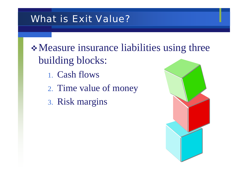## What is Exit Value?

Measure insurance liabilities using three building blocks:

- 1. Cash flows
- 2. Time value of money
- 3. Risk margins

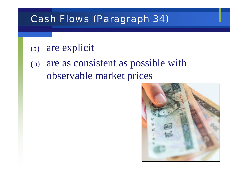## Cash Flows (Paragraph 34)

### (a) are explicit

(b) are as consistent as possible with observable market prices

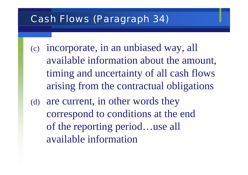# Cash Flows (Paragraph 34)

(c) incorporate, in an unbiased way, all available information about the amount, timing and uncertainty of all cash flows arising from the contractual obligations (d) are current, in other words they correspond to conditions at the end

of the reporting period…use all available information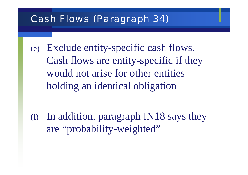### Cash Flows (Paragraph 34)

(e) Exclude entity-specific cash flows. Cash flows are entity-specific if they would not arise for other entities holding an identical obligation

(f) In addition, paragraph IN18 says they are "probability-weighted"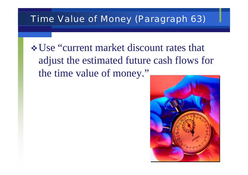#### Time Value of Money (Paragraph 63)

Use "current market discount rates that adjust the estimated future cash flows for the time value of money."

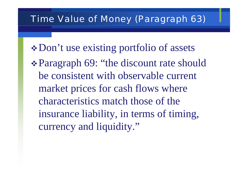#### Time Value of Money (Paragraph 63)

- Don't use existing portfolio of assets
- Paragraph 69: "the discount rate should be consistent with observable current market prices for cash flows where characteristics match those of the insurance liability, in terms of timing, currency and liquidity."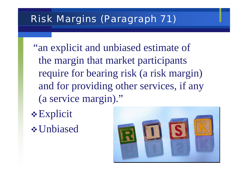### Risk Margins (Paragraph 71)

- "an explicit and unbiased estimate of the margin that market participants require for bearing risk (a risk margin) and for providing other services, if any (a service margin)."
- $\triangle$  Explicit Unbiased

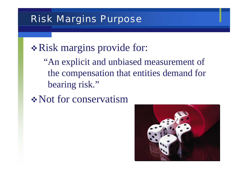#### Risk Margins Purpose

# \* Risk margins provide for:

"An explicit and unbiased measurement of the compensation that entities demand for bearing risk."

Not for conservatism

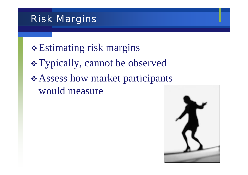Estimating risk margins Typically, cannot be observed Assess how market participants would measure

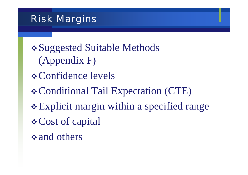Suggested Suitable Methods (Appendix F) *❖* Confidence levels Conditional Tail Expectation (CTE) Explicit margin within a specified range *❖* Cost of capital  $\triangle$  and others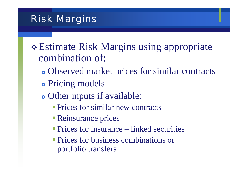- Estimate Risk Margins using appropriate combination of:
	- Observed market prices for similar contracts
	- Pricing models
	- Other inputs if available:
		- **Prices for similar new contracts**
		- Reinsurance prices
		- **Prices for insurance** linked securities
		- **Prices for business combinations or** portfolio transfers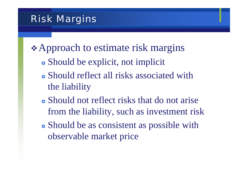**Example 4 ∗ Approach to estimate risk margins** 

- Should be explicit, not implicit
- Should reflect all risks associated with the liability
- Should not reflect risks that do not arise from the liability, such as investment risk
- Should be as consistent as possible with observable market price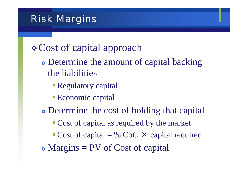# Cost of capital approach

- Determine the amount of capital backing the liabilities
	- Regulatory capital
	- **Economic capital**
- Determine the cost of holding that capital
	- **Cost of capital as required by the market**
	- Cost of capital = % CoC  $\times$  capital required
- $\bullet$  Margins = PV of Cost of capital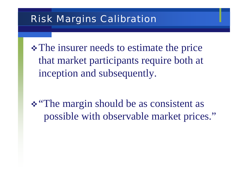#### Risk Margins Calibration

• The insurer needs to estimate the price that market participants require both at inception and subsequently.

\* "The margin should be as consistent as possible with observable market prices."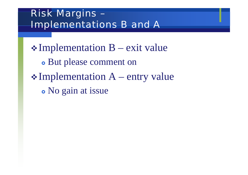# Risk Margins – Implementations B and A

 $\triangle$ Implementation B – exit value • But please comment on  $\triangle$  Implementation A – entry value • No gain at issue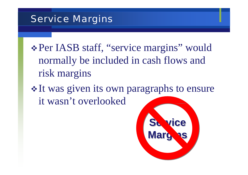#### Service Margins

Per IASB staff, "service margins" would normally be included in cash flows and risk margins

• It was given its own paragraphs to ensure it wasn't overlooked

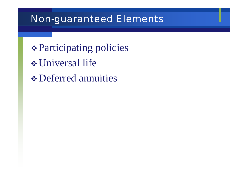#### Non-guaranteed Elements

Participating policies Universal life *❖* Deferred annuities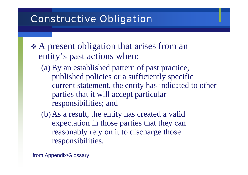## Constructive Obligation

- A present obligation that arises from an entity's past actions when:
	- (a) By an established pattern of past practice, published policies or a sufficiently specific current statement, the entity has indicated to other parties that it will accept particular responsibilities; and

(b)As a result, the entity has created a valid expectation in those parties that they can reasonably rely on it to discharge those responsibilities.

from Appendix/Glossary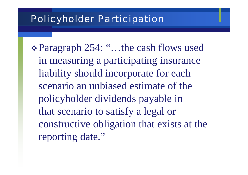#### Policyholder Participation

Paragraph 254: "…the cash flows used in measuring a participating insurance liability should incorporate for each scenario an unbiased estimate of the policyholder dividends payable in that scenario to satisfy a legal or constructive obligation that exists at the reporting date."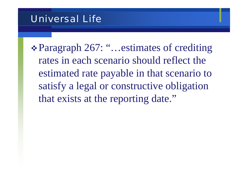#### Universal Life

Paragraph 267: "…estimates of crediting rates in each scenario should reflect the estimated rate payable in that scenario to satisfy a legal or constructive obligation that exists at the reporting date."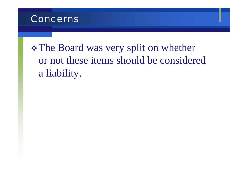

• The Board was very split on whether or not these items should be considered a liability.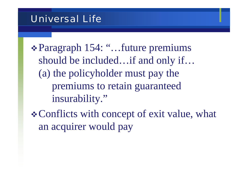#### Universal Life

Paragraph 154: "…future premiums should be included…if and only if… (a) the policyholder must pay the premiums to retain guaranteed insurability."

Conflicts with concept of exit value, what an acquirer would pay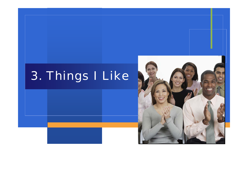# 3. Things I Like

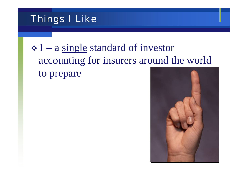# Things I Like

# $\div 1$  – a single standard of investor accounting for insurers around the world to prepare

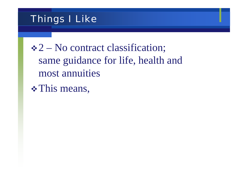### Things I Like

 $\div 2$  – No contract classification; same guidance for life, health and most annuities

\* This means,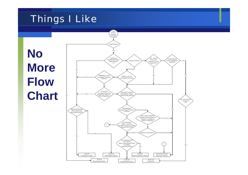## Things I Like

**No More Flow Chart**

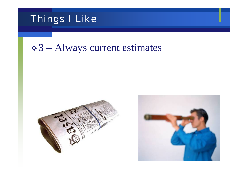

### $\div 3$  – Always current estimates



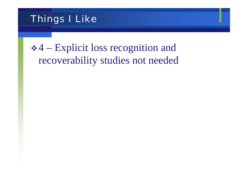

# 4 – Explicit loss recognition and recoverability studies not needed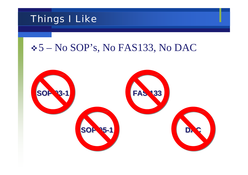

## 5 – No SOP's, No FAS133, No DAC

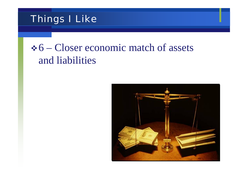

# $6 -$ Closer economic match of assets and liabilities

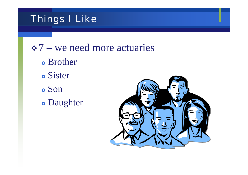## Things I Like

 $\div 7$  – we need more actuaries

**•** Brother **•** Sister

**o** Son

• Daughter

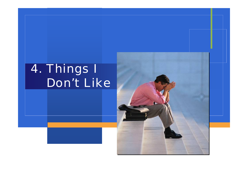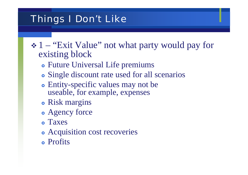- ◆ 1 "Exit Value" not what party would pay for existing block
	- **Future Universal Life premiums**
	- Single discount rate used for all scenarios
	- Entity-specific values may not be useable, for example, expenses
	- Risk margins
	- Agency force
	- } Taxes
	- Acquisition cost recoveries
	- **•** Profits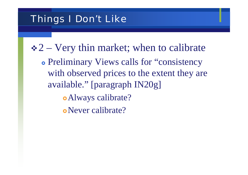$\div 2$  – Very thin market; when to calibrate • Preliminary Views calls for "consistency" with observed prices to the extent they are available." [paragraph IN20g] • Always calibrate? • Never calibrate?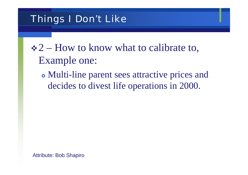# $\div 2$  – How to know what to calibrate to, Example one:

• Multi-line parent sees attractive prices and decides to divest life operations in 2000.

Attribute: Bob Shapiro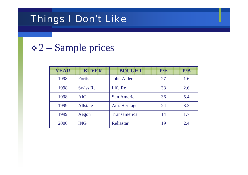## $\div 2$  – Sample prices

| <b>YEAR</b> | <b>BUYER</b>    | <b>BOUGHT</b>      | P/E | P/B |
|-------------|-----------------|--------------------|-----|-----|
| 1998        | <b>Fortis</b>   | John Alden         | 27  | 1.6 |
| 1998        | <b>Swiss Re</b> | Life Re            | 38  | 2.6 |
| 1998        | <b>AIG</b>      | <b>Sun America</b> | 36  | 5.4 |
| 1999        | Allstate        | Am. Heritage       | 24  | 3.3 |
| 1999        | Aegon           | Transamerica       | 14  | 1.7 |
| 2000        | <b>ING</b>      | Reliastar          | 19  | 2.4 |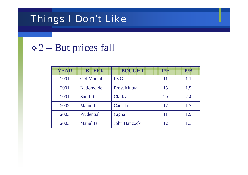## $\div 2$  – But prices fall

| <b>YEAR</b> | <b>BUYER</b>      | <b>BOUGHT</b>       | P/E | P/B |
|-------------|-------------------|---------------------|-----|-----|
| 2001        | <b>Old Mutual</b> | <b>FVG</b>          | 11  | 1.1 |
| 2001        | <b>Nationwide</b> | Prov. Mutual        | 15  | 1.5 |
| 2001        | Sun Life          | Clarica             | 20  | 2.4 |
| 2002        | Manulife          | Canada              | 17  | 1.7 |
| 2003        | Prudential        | Cigna               | 11  | 1.9 |
| 2003        | Manulife          | <b>John Hancock</b> | 12  | 1.3 |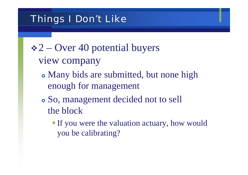- $\div 2$  Over 40 potential buyers
	- view company
		- Many bids are submitted, but none high enough for management
		- So, management decided not to sell the block
			- If you were the valuation actuary, how would you be calibrating?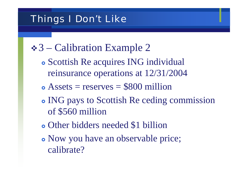- $\div$  3 Calibration Example 2
	- Scottish Re acquires ING individual reinsurance operations at 12/31/2004
	- $\bullet$  Assets = reserves = \$800 million
	- ING pays to Scottish Re ceding commission of \$560 million
	- Other bidders needed \$1 billion
	- Now you have an observable price; calibrate?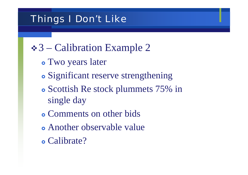- $\div$  3 Calibration Example 2
	- Two years later
	- Significant reserve strengthening
	- Scottish Re stock plummets 75% in single day
	- Comments on other bids
	- Another observable value
	- Calibrate?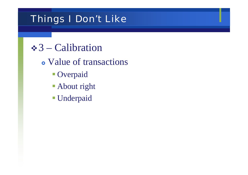- $\div$ 3 Calibration
	- Value of transactions
		- **Overpaid**
		- **About right**
		- Underpaid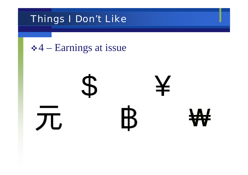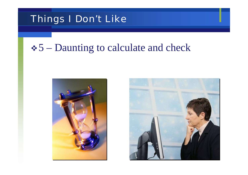## $\div$  5 – Daunting to calculate and check



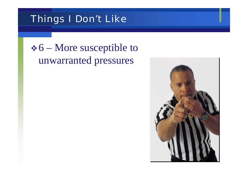# *❖* **6** – More susceptible to unwarranted pressures

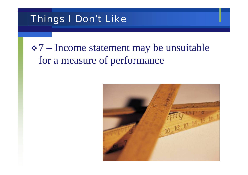# 7 – Income statement may be unsuitable for a measure of performance

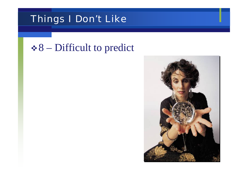## $\div 8$  – Difficult to predict

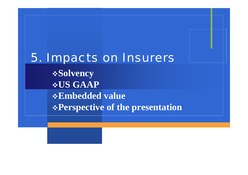# 5. Impacts on Insurers **Solvency US GAAP Embedded value Perspective of the presentation**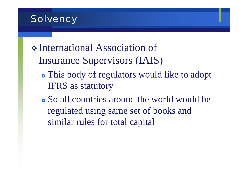#### **Solvency**

International Association of Insurance Supervisors (IAIS)

- This body of regulators would like to adopt IFRS as statutory
- So all countries around the world would be regulated using same set of books and similar rules for total capital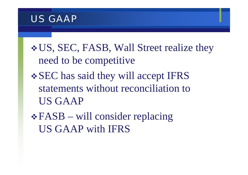#### US GAAP

US, SEC, FASB, Wall Street realize they need to be competitive SEC has said they will accept IFRS statements without reconciliation to US GAAP

FASB – will consider replacing US GAAP with IFRS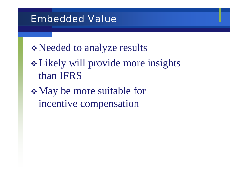#### Embedded Value

- Needed to analyze results
- Likely will provide more insights than IFRS
- May be more suitable for incentive compensation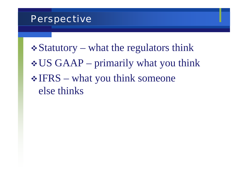#### Perspective

 $\triangle$  Statutory – what the regulators think US GAAP – primarily what you think  $\cdot$  IFRS – what you think someone else thinks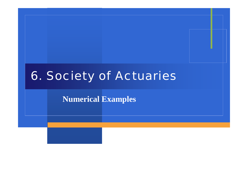# 6. Society of Actuaries

**Numerical Examples**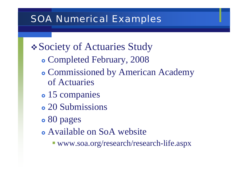### SOA Numerical Examples

## *❖* Society of Actuaries Study

- } Completed February, 2008
- Commissioned by American Academy of Actuaries
- 15 companies
- 20 Submissions
- 80 pages
- Available on SoA website
	- www.soa.org/research/research-life.aspx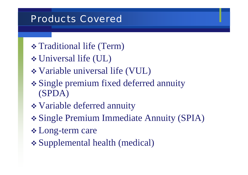#### Products Covered

- Traditional life (Term)
- Universal life (UL)
- Variable universal life (VUL)
- Single premium fixed deferred annuity (SPDA)
- Variable deferred annuity
- Single Premium Immediate Annuity (SPIA)
- Long-term care
- Supplemental health (medical)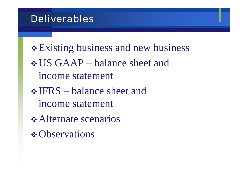#### **Deliverables**

\* Existing business and new business US GAAP – balance sheet and income statement  $\cdot$  IFRS – balance sheet and income statement *❖* Alternate scenarios **\*** Observations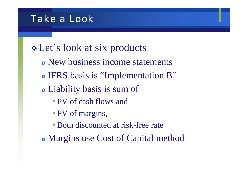#### Take a Look

# Let's look at six products

- New business income statements
- IFRS basis is "Implementation B"
- Liability basis is sum of
	- PV of cash flows and
	- **PV** of margins,
	- Both discounted at risk-free rate
- Margins use Cost of Capital method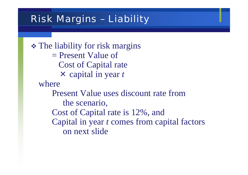#### Risk Margins – Liability

 The liability for risk margins = Present Value of Cost of Capital rate × capital in year *t* wherePresent Value uses discount rate from the scenario, Cost of Capital rate is 12%, and Capital in year *t* comes from capital factors on next slide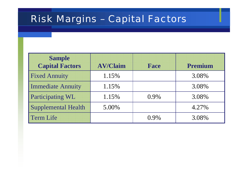### Risk Margins – Capital Factors

| <b>Sample</b><br><b>Capital Factors</b> | <b>AV/Claim</b> | Face    | Premium |
|-----------------------------------------|-----------------|---------|---------|
| <b>Fixed Annuity</b>                    | 1.15%           |         | 3.08%   |
| <b>Immediate Annuity</b>                | 1.15%           |         | 3.08%   |
| <b>Participating WL</b>                 | 1.15%           | $0.9\%$ | 3.08%   |
| <b>Supplemental Health</b>              | 5.00%           |         | 4.27%   |
| Term Life                               |                 | $0.9\%$ | 3.08%   |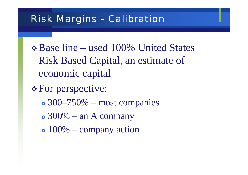#### Risk Margins – Calibration

Base line – used 100% United States Risk Based Capital, an estimate of economic capital

*❖* For perspective:

- $\bullet$  300–750% most companies
- $\bullet$  300% an A company
- $\bullet$  100% company action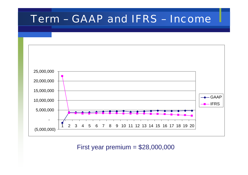### Term – GAAP and IFRS – Income



First year premium = \$28,000,000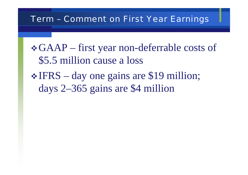#### Term – Comment on First Year Earnings

GAAP – first year non-deferrable costs of \$5.5 million cause a loss  $\cdot$  IFRS – day one gains are \$19 million; days 2–365 gains are \$4 million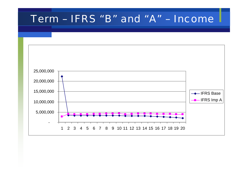#### Term – IFRS "B" and "A" – Income

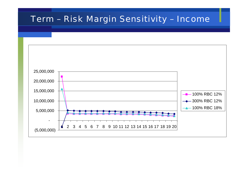#### Term – Risk Margin Sensitivity – Income

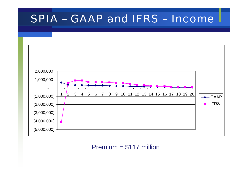## SPIA – GAAP and IFRS – Income



Premium = \$117 million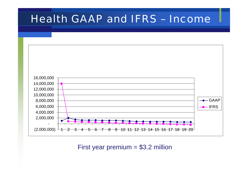## Health GAAP and IFRS – Income



First year premium  $= $3.2$  million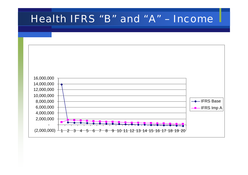#### Health IFRS "B" and "A" – Income

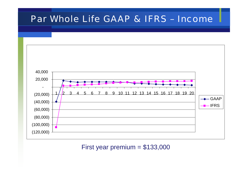#### Par Whole Life GAAP & IFRS – Income



First year premium = \$133,000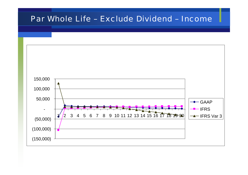#### Par Whole Life – Exclude Dividend – Income

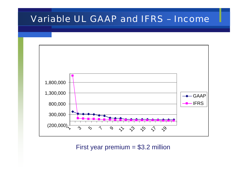#### Variable UL GAAP and IFRS – Income



First year premium = \$3.2 million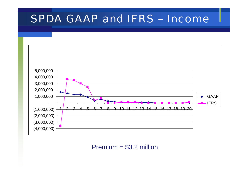## SPDA GAAP and IFRS – Income



Premium = \$3.2 million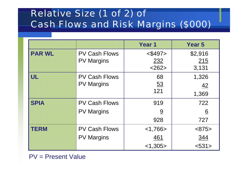## Relative Size (1 of 2) of Cash Flows and Risk Margins (\$000)

|               |                      | Year <sub>1</sub> | <b>Year 5</b>   |
|---------------|----------------------|-------------------|-----------------|
| <b>PAR WL</b> | <b>PV Cash Flows</b> | $<$ \$497>        | \$2,916         |
|               | <b>PV Margins</b>    | 232               | 215             |
|               |                      | <262>             | 3,131           |
| UL            | <b>PV Cash Flows</b> | 68                | 1,326           |
|               | <b>PV Margins</b>    | <u>53</u>         | $\frac{42}{ }$  |
|               |                      | 121               | 1,369           |
| <b>SPIA</b>   | <b>PV Cash Flows</b> | 919               | 722             |
|               | <b>PV Margins</b>    | $\underline{9}$   | $\underline{6}$ |
|               |                      | 928               | 727             |
| <b>TERM</b>   | <b>PV Cash Flows</b> | $<$ 1,766 $>$     | <875>           |
|               | <b>PV Margins</b>    | 461               | 344             |
|               |                      | < 1,305           | < 531           |

PV = Present Value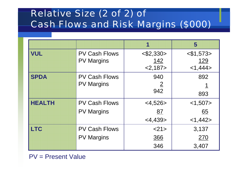## Relative Size (2 of 2) of Cash Flows and Risk Margins (\$000)

|               |                      | 1              | 5            |
|---------------|----------------------|----------------|--------------|
| <b>VUL</b>    | <b>PV Cash Flows</b> | $<$ \$2,330>   | $<$ \$1,573> |
|               | <b>PV Margins</b>    | 142            | <u>129</u>   |
|               |                      | <2,187>        | <1,444>      |
| <b>SPDA</b>   | <b>PV Cash Flows</b> | 940            | 892          |
|               | <b>PV Margins</b>    | $\overline{2}$ |              |
|               |                      | 942            | 893          |
| <b>HEALTH</b> | <b>PV Cash Flows</b> | $<$ 4,526 $>$  | <1,507>      |
|               | <b>PV Margins</b>    | <u>87</u>      | <u>65</u>    |
|               |                      | $<$ 4,439>     | <1,442>      |
| <b>LTC</b>    | <b>PV Cash Flows</b> | <21>           | 3,137        |
|               | <b>PV Margins</b>    | 366            | 270          |
|               |                      | 346            | 3,407        |

PV = Present Value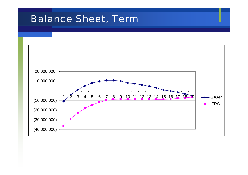#### Balance Sheet, Term

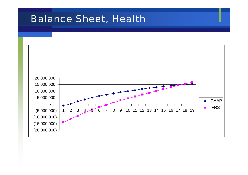#### Balance Sheet, Health

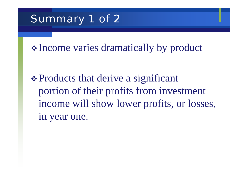# Summary 1 of 2

Income varies dramatically by product

\* Products that derive a significant portion of their profits from investment income will show lower profits, or losses, in year one.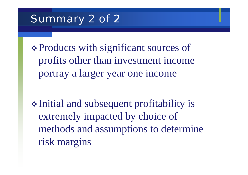# Summary 2 of 2

\* Products with significant sources of profits other than investment income portray a larger year one income

• Initial and subsequent profitability is extremely impacted by choice of methods and assumptions to determine risk margins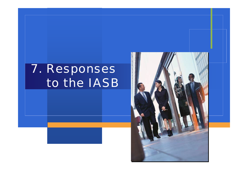# 7. Responses to the IASB

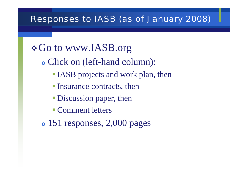#### Responses to IASB (as of January 2008)

# *❖* Go to www.IASB.org

- Click on (left-hand column):
	- **IASB** projects and work plan, then
	- **Insurance contracts, then**
	- **Discussion paper, then**
	- **Comment letters**
- 151 responses, 2,000 pages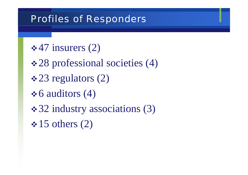#### Profiles of Responders

- $\div$  47 insurers (2)
- 28 professional societies (4)
- $\div 23$  regulators (2)
- $\div 6$  auditors (4)
- **❖ 32 industry associations (3)**
- $\div 15$  others (2)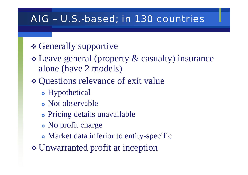#### AIG – U.S.-based; in 130 countries

### \* Generally supportive

 Leave general (property & casualty) insurance alone (have 2 models)

## Questions relevance of exit value

- Hypothetical
- Not observable
- Pricing details unavailable
- No profit charge
- Market data inferior to entity-specific
- Unwarranted profit at inception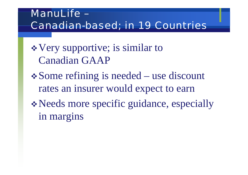## ManuLife – Canadian-based; in 19 Countries

- Very supportive; is similar to Canadian GAAP
- Some refining is needed use discount rates an insurer would expect to earn
- Needs more specific guidance, especially in margins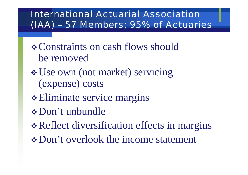#### International Actuarial Association (IAA) – 57 Members; 95% of Actuaries

- **☆ Constraints on cash flows should** be removed
- Use own (not market) servicing (expense) costs
- \* Eliminate service margins
- Don't unbundle
- \* Reflect diversification effects in margins
- **❖ Don't overlook the income statement**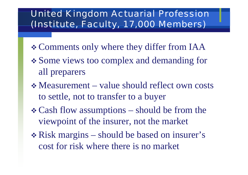#### United Kingdom Actuarial Profession (Institute, Faculty, 17,000 Members)

- Comments only where they differ from IAA
- Some views too complex and demanding for all preparers
- Measurement value should reflect own costs to settle, not to transfer to a buyer
- Cash flow assumptions should be from the viewpoint of the insurer, not the market
- Risk margins should be based on insurer's cost for risk where there is no market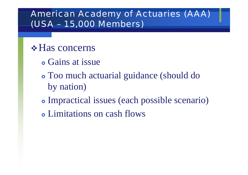#### American Academy of Actuaries (AAA) (USA – 15,000 Members)

- **☆ Has concerns** 
	- Gains at issue
	- Too much actuarial guidance (should do by nation)
	- Impractical issues (each possible scenario)
	- Limitations on cash flows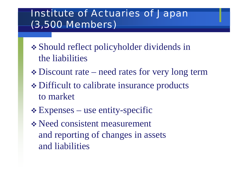## Institute of Actuaries of Japan (3,500 Members)

- Should reflect policyholder dividends in the liabilities
- $\div$  **Discount rate need rates for very long term**
- Difficult to calibrate insurance products to market
- Expenses use entity-specific

 Need consistent measurement and reporting of changes in assets and liabilities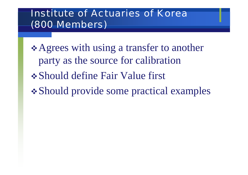#### **Institute of Actuaries of Korea** (800 Members)

- Agrees with using a transfer to another party as the source for calibration Should define Fair Value first
- Should provide some practical examples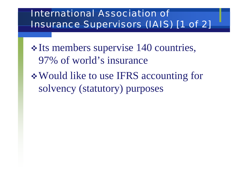### International Association of Insurance Supervisors (IAIS) [1 of 2]

\* Its members supervise 140 countries, 97% of world's insurance Would like to use IFRS accounting for solvency (statutory) purposes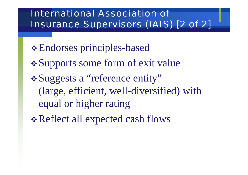### International Association of Insurance Supervisors (IAIS) [2 of 2]

- Endorses principles-based
- Supports some form of exit value
- Suggests a "reference entity" (large, efficient, well-diversified) with equal or higher rating
- Reflect all expected cash flows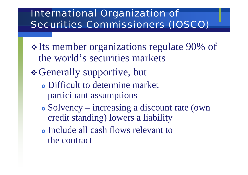## International Organization of Securities Commissioners (IOSCO)

- Its member organizations regulate 90% of the world's securities markets
- *❖* Generally supportive, but
	- Difficult to determine market participant assumptions
	- Solvency increasing a discount rate (own credit standing) lowers a liability
	- Include all cash flows relevant to the contract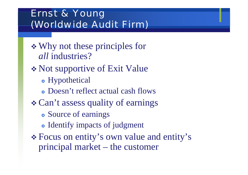## Ernst & Young (Worldwide Audit Firm)

 Why not these principles for *all* industries?

Not supportive of Exit Value

- Hypothetical
- Doesn't reflect actual cash flows
- Can't assess quality of earnings
	- **•** Source of earnings
	- Identify impacts of judgment
- Focus on entity's own value and entity's principal market – the customer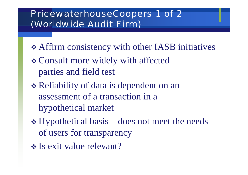#### PricewaterhouseCoopers 1 of 2 (Worldwide Audit Firm)

- Affirm consistency with other IASB initiatives
- Consult more widely with affected parties and field test
- Reliability of data is dependent on an assessment of a transaction in a hypothetical market
- Hypothetical basis does not meet the needs of users for transparency
- **Is exit value relevant?**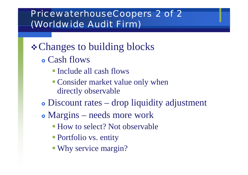#### PricewaterhouseCoopers 2 of 2 (Worldwide Audit Firm)

- **❖ Changes to building blocks** 
	- Cash flows
		- Include all cash flows
		- **Consider market value only when** directly observable
	- Discount rates drop liquidity adjustment
	- Margins needs more work
		- How to select? Not observable
		- Portfolio vs. entity
		- Why service margin?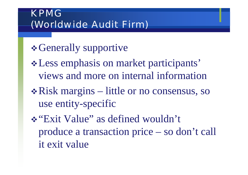## KPMG(Worldwide Audit Firm)

- *❖* Generally supportive
- Less emphasis on market participants' views and more on internal information
- Risk margins little or no consensus, so use entity-specific
- "Exit Value" as defined wouldn't produce a transaction price – so don't call it exit value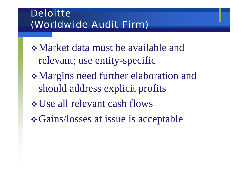## **Deloitte** (Worldwide Audit Firm)

- Market data must be available and relevant; use entity-specific
- Margins need further elaboration and should address explicit profits
- Use all relevant cash flows
- *❖* Gains/losses at issue is acceptable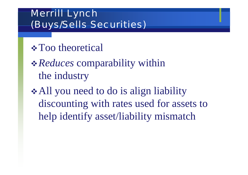## Merrill Lynch (Buys/Sells Securities)

- **☆ Too theoretical**
- *Reduces* comparability within the industry
- **★All you need to do is align liability** discounting with rates used for assets to help identify asset/liability mismatch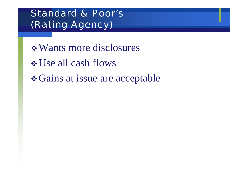## Standard & Poor's(Rating Agency)

Wants more disclosuresUse all cash flows Gains at issue are acceptable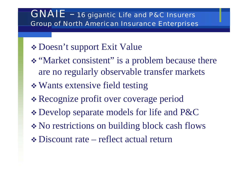#### GNAIE - 16 gigantic Life and P&C Insurers Group of North American Insurance Enterprises

### Doesn't support Exit Value

- \* "Market consistent" is a problem because there are no regularly observable transfer markets
- Wants extensive field testing
- Recognize profit over coverage period
- Develop separate models for life and P&C
- No restrictions on building block cash flows
- Discount rate reflect actual return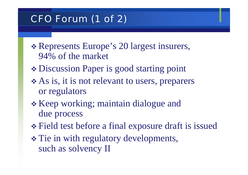### CFO Forum (1 of 2)

- Represents Europe's 20 largest insurers, 94% of the market
- Discussion Paper is good starting point
- \* As is, it is not relevant to users, preparers or regulators
- \* Keep working; maintain dialogue and due process
- Field test before a final exposure draft is issued
- \* Tie in with regulatory developments, such as solvency II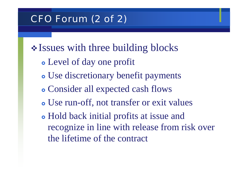### CFO Forum (2 of 2)

• Issues with three building blocks

- Level of day one profit
- Use discretionary benefit payments
- Consider all expected cash flows
- Use run-off, not transfer or exit values
- Hold back initial profits at issue and recognize in line with release from risk over the lifetime of the contract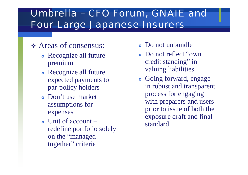#### Umbrella – CFO Forum, GNAIE and Four Large Japanese Insurers

#### Areas of consensus:

- Recognize all future premium
- Recognize all future expected payments to par-policy holders
- Don't use market assumptions for expenses
- $\bullet$  Unit of account  $$ redefine portfolio solely on the "managed together" criteria
- Do not unbundle
- Do not reflect "own" credit standing" in valuing liabilities
- Going forward, engage in robust and transparent process for engaging with preparers and users prior to issue of both the exposure draft and final standard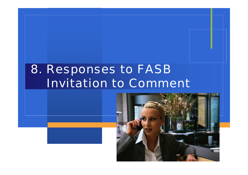# 8. Responses to FASB Invitation to Comment

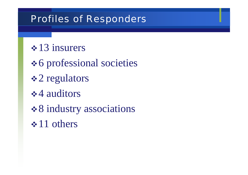#### Profiles of Responders

- $\div 13$  insurers
- *❖* 6 professional societies
- **❖ 2 regulators**
- $\div$  4 auditors
- **❖ 8 industry associations**
- $\div 11$  others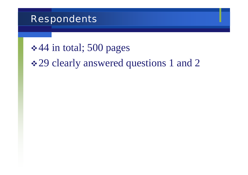#### Respondents

## $\div$  **44 in total; 500 pages**

## **❖ 29 clearly answered questions 1 and 2**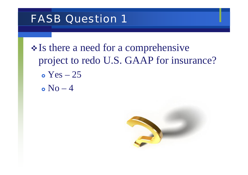### FASB Question 1

- Is there a need for a comprehensive project to redo U.S. GAAP for insurance?  $\bullet$  Yes – 25
	- $\bullet$  No  $-$  4

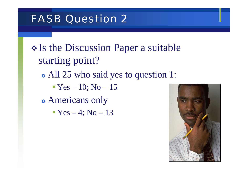## FASB Question 2

\* Is the Discussion Paper a suitable starting point? • All 25 who said yes to question 1:  $\blacktriangleright$  Yes – 10; No – 15 • Americans only  $\blacktriangleright$  Yes – 4; No – 13

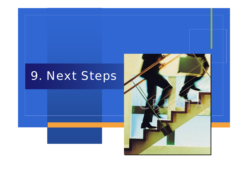# 9. Next Steps

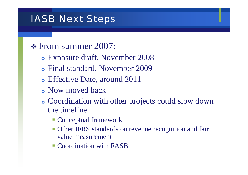### IASB Next Steps

#### \* From summer 2007:

- Exposure draft, November 2008
- Final standard, November 2009
- Effective Date, around 2011
- Now moved back
- Coordination with other projects could slow down the timeline
	- Conceptual framework
	- **Other IFRS** standards on revenue recognition and fair value measurement
	- Coordination with FASB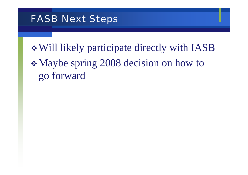### FASB Next Steps

Will likely participate directly with IASB Maybe spring 2008 decision on how to go forward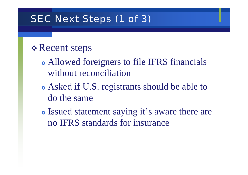### SEC Next Steps (1 of 3)

### *❖* Recent steps

- Allowed foreigners to file IFRS financials without reconciliation
- Asked if U.S. registrants should be able to do the same
- Issued statement saying it's aware there are no IFRS standards for insurance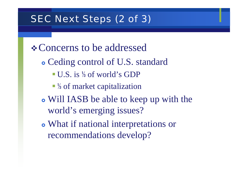### SEC Next Steps (2 of 3)

*❖* Concerns to be addressed

- Ceding control of U.S. standard
	- U.S. is <sup>1/3</sup> of world's GDP
	- <sup>1/3</sup> of market capitalization
- Will IASB be able to keep up with the world's emerging issues?
- What if national interpretations or recommendations develop?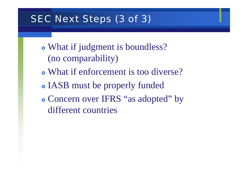### SEC Next Steps (3 of 3)

- What if judgment is boundless? (no comparability)
- What if enforcement is too diverse?
- IASB must be properly funded
- Concern over IFRS "as adopted" by different countries